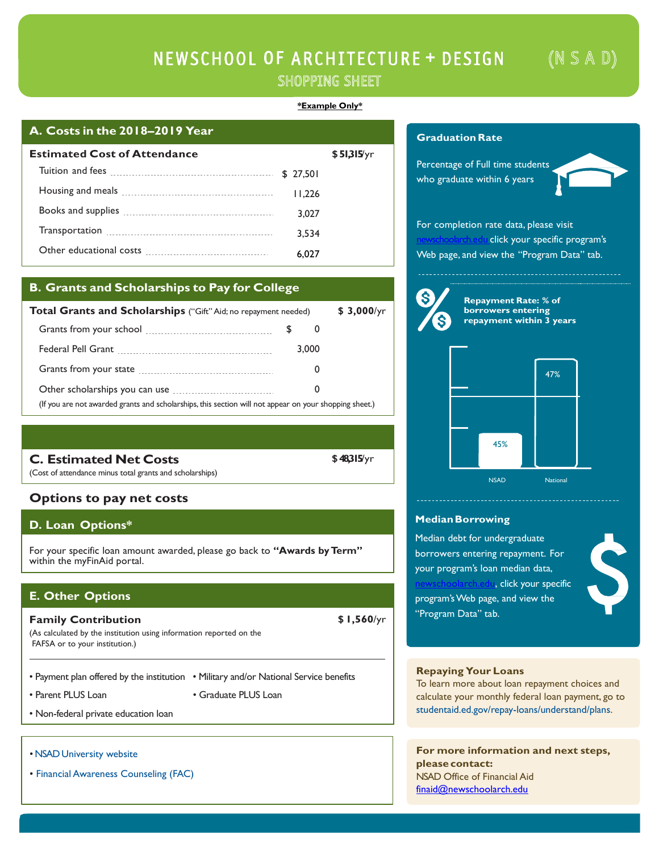# NEWSCHOOL OF ARCHITECTURE + DESIGN  $(N S A D)$ SHOPPING SHEET

## **\*Example Only\***

# **A. Costs in the 2018–2019 Year**

| <b>Estimated Cost of Attendance</b>                                                                                                                                                                                                |           | \$51315/yr |
|------------------------------------------------------------------------------------------------------------------------------------------------------------------------------------------------------------------------------------|-----------|------------|
| Tuition and fees <b>construction</b> and fees <b>construction</b> and fees <b>construction</b> and <b>fees construction</b> and <b>fees construction feed and feed and feed and feed and feed and feed and feed and feed and f</b> | \$ 27.501 |            |
|                                                                                                                                                                                                                                    | 11.226    |            |
|                                                                                                                                                                                                                                    | 3.027     |            |
|                                                                                                                                                                                                                                    | 3.534     |            |
|                                                                                                                                                                                                                                    | 6.027     |            |

# **B. Grants and Scholarships to Pay for College**

| Total Grants and Scholarships ("Gift" Aid; no repayment needed)                                        | $$3,000$ /yr |   |  |
|--------------------------------------------------------------------------------------------------------|--------------|---|--|
|                                                                                                        | PΆ           | υ |  |
|                                                                                                        | 3.000        |   |  |
|                                                                                                        |              | O |  |
| Other scholarships you can use <b>constant of the scholarships</b>                                     |              | 0 |  |
| (If you are not awarded grants and scholarships, this section will not appear on your shopping sheet.) |              |   |  |

**C. Estimated Net Costs**

(Cost of attendance minus total grants and scholarships)

# **Options to pay net costs**

# **D. Loan Options\***

For your specific loan amount awarded, please go back to **"Awards by Term"** within the myFinAid portal.

# **E. Other Options**

**Family Contribution \$ 1,560**/yr (As calculated by the institution using information reported on the

FAFSA or to your institution.)

- Payment plan offered by the institution Military and/or National Service benefits
- 
- Parent PLUS Loan Graduate PLUS Loan
- Non-federal private education loan
- [NSAD University website](https://newschoolarch.edu/)
- Financial [Awareness Counseling \(FAC\)](https://studentloans.gov/myDirectLoan/index.action)

# **GraduationRate**

Percentage of Full time students who graduate within 6 years



For completion rate data, please visit click your specific program's Web page, and view the "Program Data" tab.



**Repayment Rate: % of borrowers entering repayment within 3 years**



### **MedianBorrowing**

Median debt for undergraduate borrowers entering repayment. For your program's loan median data, n, click your specific program'sWeb page, and view the



# **Repaying Your Loans**

"Program Data" tab.

To learn more about loan repayment choices and calculate your monthly federal loan payment, go to [studentaid.ed.gov/repay-loans/understand/plans.](http://studentaid.ed.gov/repay-loans/understand/plans)

**For more information and next steps, please contact:** NSAD Office of Financial Aid [finaid@newschoolarch.edu](mailto:finaid@newschoolarch.edu)

**\$48,315**/yr